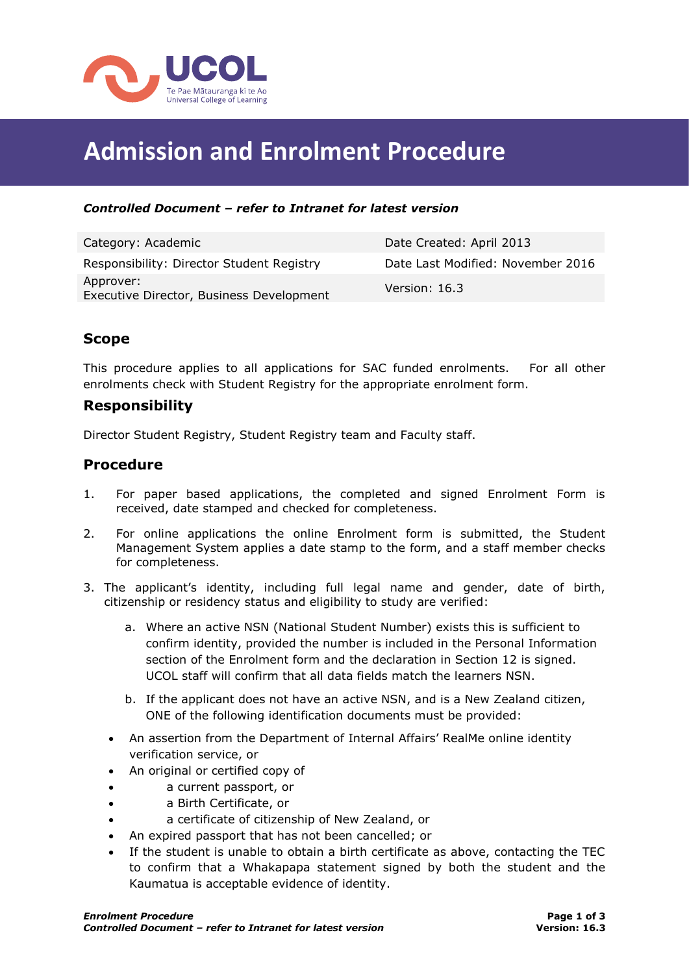

# **Admission and Enrolment Procedure**

#### *Controlled Document – refer to Intranet for latest version*

| Category: Academic                                    | Date Created: April 2013          |
|-------------------------------------------------------|-----------------------------------|
| Responsibility: Director Student Registry             | Date Last Modified: November 2016 |
| Approver:<br>Executive Director, Business Development | Version: 16.3                     |

## **Scope**

This procedure applies to all applications for SAC funded enrolments. For all other enrolments check with Student Registry for the appropriate enrolment form.

### **Responsibility**

Director Student Registry, Student Registry team and Faculty staff.

#### **Procedure**

- 1. For paper based applications, the completed and signed Enrolment Form is received, date stamped and checked for completeness.
- 2. For online applications the online Enrolment form is submitted, the Student Management System applies a date stamp to the form, and a staff member checks for completeness.
- 3. The applicant's identity, including full legal name and gender, date of birth, citizenship or residency status and eligibility to study are verified:
	- a. Where an active NSN (National Student Number) exists this is sufficient to confirm identity, provided the number is included in the Personal Information section of the Enrolment form and the declaration in Section 12 is signed. UCOL staff will confirm that all data fields match the learners NSN.
	- b. If the applicant does not have an active NSN, and is a New Zealand citizen, ONE of the following identification documents must be provided:
	- An assertion from the Department of Internal Affairs' RealMe online identity verification service, or
	- An original or certified copy of
	- a current passport, or
	- a Birth Certificate, or
	- a certificate of citizenship of New Zealand, or
	- An expired passport that has not been cancelled; or
	- If the student is unable to obtain a birth certificate as above, contacting the TEC to confirm that a Whakapapa statement signed by both the student and the Kaumatua is acceptable evidence of identity.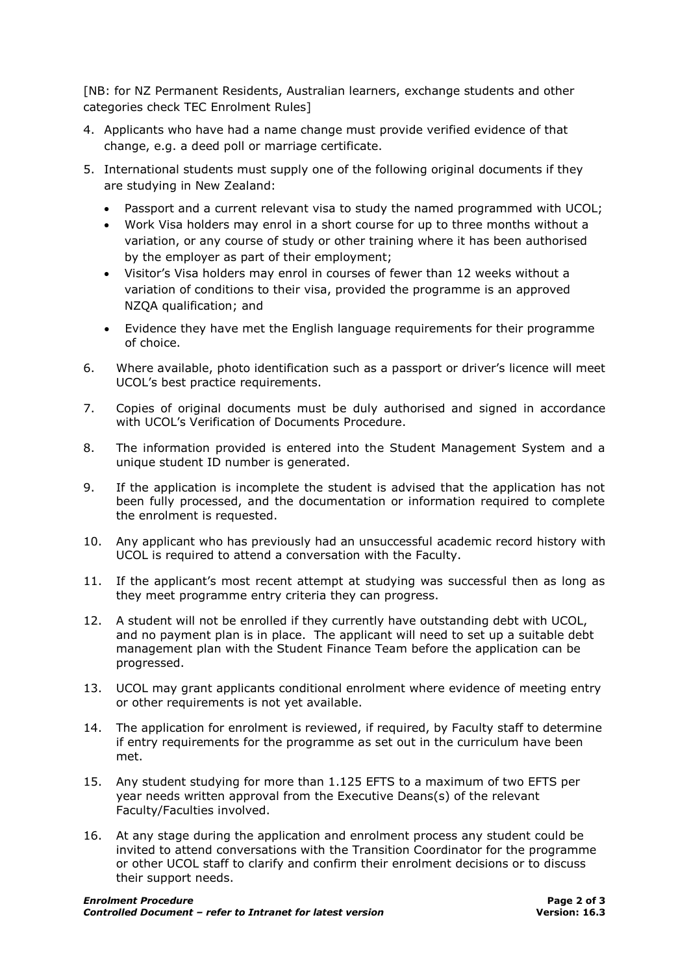[NB: for NZ Permanent Residents, Australian learners, exchange students and other categories check TEC Enrolment Rules]

- 4. Applicants who have had a name change must provide verified evidence of that change, e.g. a deed poll or marriage certificate.
- 5. International students must supply one of the following original documents if they are studying in New Zealand:
	- Passport and a current relevant visa to study the named programmed with UCOL;
	- Work Visa holders may enrol in a short course for up to three months without a variation, or any course of study or other training where it has been authorised by the employer as part of their employment;
	- Visitor's Visa holders may enrol in courses of fewer than 12 weeks without a variation of conditions to their visa, provided the programme is an approved NZQA qualification; and
	- Evidence they have met the English language requirements for their programme of choice.
- 6. Where available, photo identification such as a passport or driver's licence will meet UCOL's best practice requirements.
- 7. Copies of original documents must be duly authorised and signed in accordance with UCOL's Verification of Documents Procedure.
- 8. The information provided is entered into the Student Management System and a unique student ID number is generated.
- 9. If the application is incomplete the student is advised that the application has not been fully processed, and the documentation or information required to complete the enrolment is requested.
- 10. Any applicant who has previously had an unsuccessful academic record history with UCOL is required to attend a conversation with the Faculty.
- 11. If the applicant's most recent attempt at studying was successful then as long as they meet programme entry criteria they can progress.
- 12. A student will not be enrolled if they currently have outstanding debt with UCOL, and no payment plan is in place. The applicant will need to set up a suitable debt management plan with the Student Finance Team before the application can be progressed.
- 13. UCOL may grant applicants conditional enrolment where evidence of meeting entry or other requirements is not yet available.
- 14. The application for enrolment is reviewed, if required, by Faculty staff to determine if entry requirements for the programme as set out in the curriculum have been met.
- 15. Any student studying for more than 1.125 EFTS to a maximum of two EFTS per year needs written approval from the Executive Deans(s) of the relevant Faculty/Faculties involved.
- 16. At any stage during the application and enrolment process any student could be invited to attend conversations with the Transition Coordinator for the programme or other UCOL staff to clarify and confirm their enrolment decisions or to discuss their support needs.